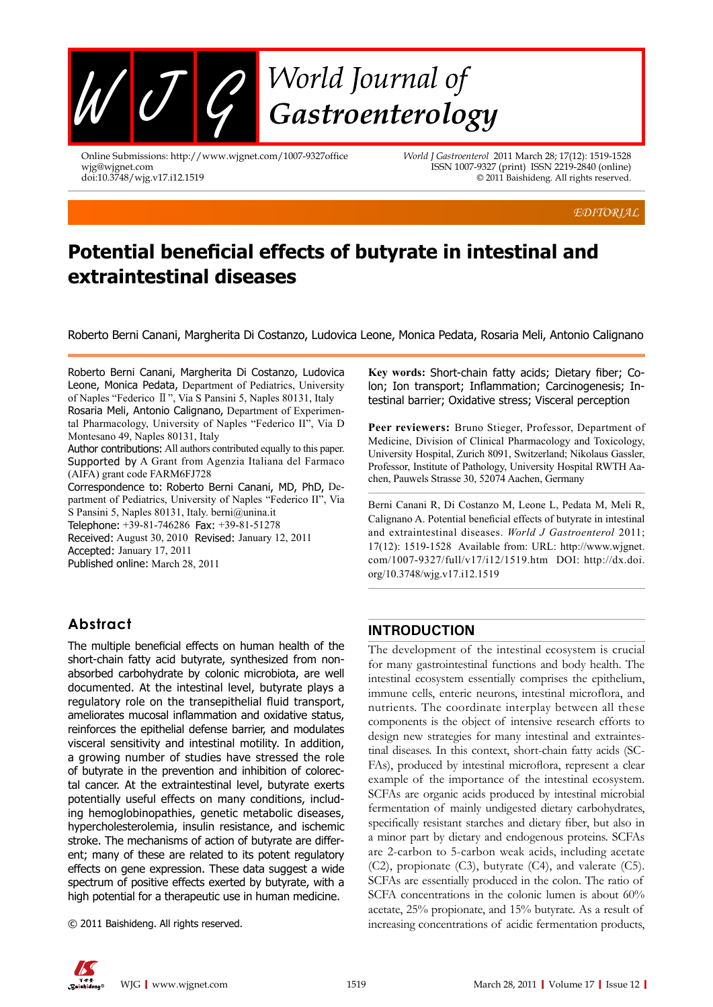

Online Submissions: http://www.wjgnet.com/1007-9327office wjg@wjgnet.com doi:10.3748/wjg.v17.i12.1519

*World J Gastroenterol* 2011 March 28; 17(12): 1519-1528 ISSN 1007-9327 (print) ISSN 2219-2840 (online) © 2011 Baishideng. All rights reserved.

*EDITORIAL*

# **Potential beneficial effects of butyrate in intestinal and extraintestinal diseases**

Roberto Berni Canani, Margherita Di Costanzo, Ludovica Leone, Monica Pedata, Rosaria Meli, Antonio Calignano

Roberto Berni Canani, Margherita Di Costanzo, Ludovica Leone, Monica Pedata, Department of Pediatrics, University of Naples "Federico Ⅱ", Via S Pansini 5, Naples 80131, Italy Rosaria Meli, Antonio Calignano, Department of Experimental Pharmacology, University of Naples "Federico II", Via D Montesano 49, Naples 80131, Italy

Author contributions: All authors contributed equally to this paper. Supported by A Grant from Agenzia Italiana del Farmaco (AIFA) grant code FARM6FJ728

Correspondence to: Roberto Berni Canani, MD, PhD, Department of Pediatrics, University of Naples "Federico II", Via

S Pansini 5, Naples 80131, Italy. berni@unina.it Telephone: +39-81-746286Fax: +39-81-51278

Received: August 30, 2010 Revised: January 12, 2011 Accepted: January 17, 2011

Published online: March 28, 2011

### **Abstract**

The multiple beneficial effects on human health of the short-chain fatty acid butyrate, synthesized from nonabsorbed carbohydrate by colonic microbiota, are well documented. At the intestinal level, butyrate plays a regulatory role on the transepithelial fluid transport, ameliorates mucosal inflammation and oxidative status, reinforces the epithelial defense barrier, and modulates visceral sensitivity and intestinal motility. In addition, a growing number of studies have stressed the role of butyrate in the prevention and inhibition of colorectal cancer. At the extraintestinal level, butyrate exerts potentially useful effects on many conditions, including hemoglobinopathies, genetic metabolic diseases, hypercholesterolemia, insulin resistance, and ischemic stroke. The mechanisms of action of butyrate are different; many of these are related to its potent regulatory effects on gene expression. These data suggest a wide spectrum of positive effects exerted by butyrate, with a high potential for a therapeutic use in human medicine.

© 2011 Baishideng. All rights reserved.

**Key words:** Short-chain fatty acids; Dietary fiber; Colon; Ion transport; Inflammation; Carcinogenesis; Intestinal barrier; Oxidative stress; Visceral perception

**Peer reviewers:** Bruno Stieger, Professor, Department of Medicine, Division of Clinical Pharmacology and Toxicology, University Hospital, Zurich 8091, Switzerland; Nikolaus Gassler, Professor, Institute of Pathology, University Hospital RWTH Aachen, Pauwels Strasse 30, 52074 Aachen, Germany

Berni Canani R, Di Costanzo M, Leone L, Pedata M, Meli R, Calignano A. Potential beneficial effects of butyrate in intestinal and extraintestinal diseases. *World J Gastroenterol* 2011; 17(12): 1519-1528 Available from: URL: http://www.wjgnet. com/1007-9327/full/v17/i12/1519.htm DOI: http://dx.doi. org/10.3748/wjg.v17.i12.1519

### **INTRODUCTION**

The development of the intestinal ecosystem is crucial for many gastrointestinal functions and body health. The intestinal ecosystem essentially comprises the epithelium, immune cells, enteric neurons, intestinal microflora, and nutrients. The coordinate interplay between all these components is the object of intensive research efforts to design new strategies for many intestinal and extraintestinal diseases. In this context, short-chain fatty acids (SC-FAs), produced by intestinal microflora, represent a clear example of the importance of the intestinal ecosystem. SCFAs are organic acids produced by intestinal microbial fermentation of mainly undigested dietary carbohydrates, specifically resistant starches and dietary fiber, but also in a minor part by dietary and endogenous proteins. SCFAs are 2-carbon to 5-carbon weak acids, including acetate (C2), propionate (C3), butyrate (C4), and valerate (C5). SCFAs are essentially produced in the colon. The ratio of SCFA concentrations in the colonic lumen is about 60% acetate, 25% propionate, and 15% butyrate. As a result of increasing concentrations of acidic fermentation products,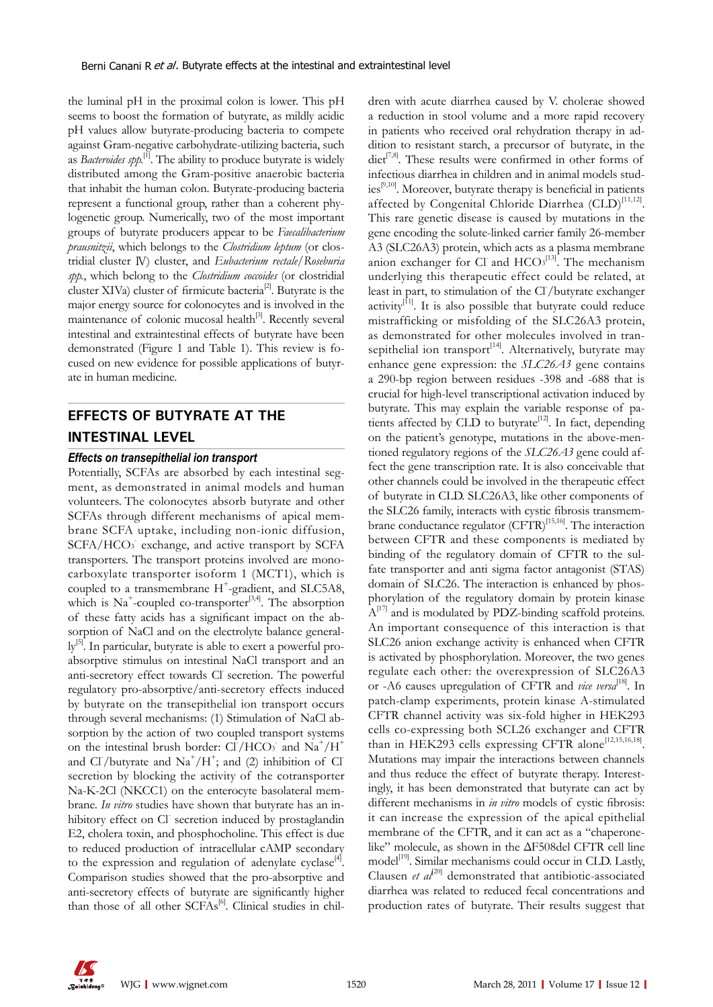the luminal pH in the proximal colon is lower. This pH seems to boost the formation of butyrate, as mildly acidic pH values allow butyrate-producing bacteria to compete against Gram-negative carbohydrate-utilizing bacteria, such as *Bacteroides spp.*<sup>[1]</sup>. The ability to produce butyrate is widely distributed among the Gram-positive anaerobic bacteria that inhabit the human colon. Butyrate-producing bacteria represent a functional group, rather than a coherent phylogenetic group. Numerically, two of the most important groups of butyrate producers appear to be *Faecalibacterium prausnitzii*, which belongs to the *Clostridium leptum* (or clostridial cluster Ⅳ) cluster, and *Eubacterium rectale/Roseburia spp.*, which belong to the *Clostridium coccoides* (or clostridial cluster XIVa) cluster of firmicute bacteria<sup>[2]</sup>. Butyrate is the major energy source for colonocytes and is involved in the maintenance of colonic mucosal health<sup>[3]</sup>. Recently several intestinal and extraintestinal effects of butyrate have been demonstrated (Figure 1 and Table 1). This review is focused on new evidence for possible applications of butyrate in human medicine.

## **EFFECTS OF BUTYRATE AT THE INTESTINAL LEVEL**

### *Effects on transepithelial ion transport*

Potentially, SCFAs are absorbed by each intestinal segment, as demonstrated in animal models and human volunteers. The colonocytes absorb butyrate and other SCFAs through different mechanisms of apical membrane SCFA uptake, including non-ionic diffusion, SCFA/HCO<sub>3</sub> exchange, and active transport by SCFA transporters. The transport proteins involved are monocarboxylate transporter isoform 1 (MCT1), which is coupled to a transmembrane H<sup>+</sup>-gradient, and SLC5A8, which is  $Na^+$ -coupled co-transporter<sup>[3,4]</sup>. The absorption of these fatty acids has a significant impact on the absorption of NaCl and on the electrolyte balance general- $\rm{ly}^{[5]}$ . In particular, butyrate is able to exert a powerful proabsorptive stimulus on intestinal NaCl transport and an anti-secretory effect towards Cl secretion. The powerful regulatory pro-absorptive/anti-secretory effects induced by butyrate on the transepithelial ion transport occurs through several mechanisms: (1) Stimulation of NaCl absorption by the action of two coupled transport systems on the intestinal brush border: Cl/HCO<sub>3</sub> and Na<sup>+</sup>/H<sup>+</sup> and Cl /butyrate and  $\text{Na}^+/\text{H}^+$ ; and (2) inhibition of Cl secretion by blocking the activity of the cotransporter Na-K-2Cl (NKCC1) on the enterocyte basolateral membrane. *In vitro* studies have shown that butyrate has an inhibitory effect on Cl secretion induced by prostaglandin E2, cholera toxin, and phosphocholine. This effect is due to reduced production of intracellular cAMP secondary to the expression and regulation of adenylate cyclase<sup>[4]</sup>. Comparison studies showed that the pro-absorptive and anti-secretory effects of butyrate are significantly higher than those of all other SCFAs<sup>[6]</sup>. Clinical studies in children with acute diarrhea caused by V. cholerae showed a reduction in stool volume and a more rapid recovery in patients who received oral rehydration therapy in addition to resistant starch, a precursor of butyrate, in the diet<sup>[7,8]</sup>. These results were confirmed in other forms of infectious diarrhea in children and in animal models studies<sup>[9,10]</sup>. Moreover, butyrate therapy is beneficial in patients affected by Congenital Chloride Diarrhea  $(CLD)^{[11,12]}$ . This rare genetic disease is caused by mutations in the gene encoding the solute-linked carrier family 26-member A3 (SLC26A3) protein, which acts as a plasma membrane anion exchanger for Cl and  $HCO<sub>3</sub><sup>[13]</sup>$ . The mechanism underlying this therapeutic effect could be related, at least in part, to stimulation of the Cl/butyrate exchanger activity $\left| \begin{array}{c} 1 \end{array} \right|$ . It is also possible that butyrate could reduce mistrafficking or misfolding of the SLC26A3 protein, as demonstrated for other molecules involved in transepithelial ion transport<sup>[14]</sup>. Alternatively, butyrate may enhance gene expression: the *SLC26A3* gene contains a 290-bp region between residues -398 and -688 that is crucial for high-level transcriptional activation induced by butyrate. This may explain the variable response of patients affected by CLD to butyrate<sup>[12]</sup>. In fact, depending on the patient's genotype, mutations in the above-mentioned regulatory regions of the *SLC26A3* gene could affect the gene transcription rate. It is also conceivable that other channels could be involved in the therapeutic effect of butyrate in CLD. SLC26A3, like other components of the SLC26 family, interacts with cystic fibrosis transmembrane conductance regulator  $(CFTR)^{[15,16]}$ . The interaction between CFTR and these components is mediated by binding of the regulatory domain of CFTR to the sulfate transporter and anti sigma factor antagonist (STAS) domain of SLC26. The interaction is enhanced by phosphorylation of the regulatory domain by protein kinase  $A^{[17]}$  and is modulated by PDZ-binding scaffold proteins. An important consequence of this interaction is that SLC26 anion exchange activity is enhanced when CFTR is activated by phosphorylation. Moreover, the two genes regulate each other: the overexpression of SLC26A3 or -A6 causes upregulation of CFTR and *vice versa*<sup>[18]</sup>. In patch-clamp experiments, protein kinase A-stimulated CFTR channel activity was six-fold higher in HEK293 cells co-expressing both SCL26 exchanger and CFTR than in HEK293 cells expressing CFTR alone<sup>[12,15,16,18]</sup>. Mutations may impair the interactions between channels and thus reduce the effect of butyrate therapy. Interestingly, it has been demonstrated that butyrate can act by different mechanisms in *in vitro* models of cystic fibrosis: it can increase the expression of the apical epithelial membrane of the CFTR, and it can act as a "chaperonelike" molecule, as shown in the ΔF508del CFTR cell line model<sup>[19]</sup>. Similar mechanisms could occur in CLD. Lastly, Clausen *et al*<sup> $[20]$ </sup> demonstrated that antibiotic-associated diarrhea was related to reduced fecal concentrations and production rates of butyrate. Their results suggest that

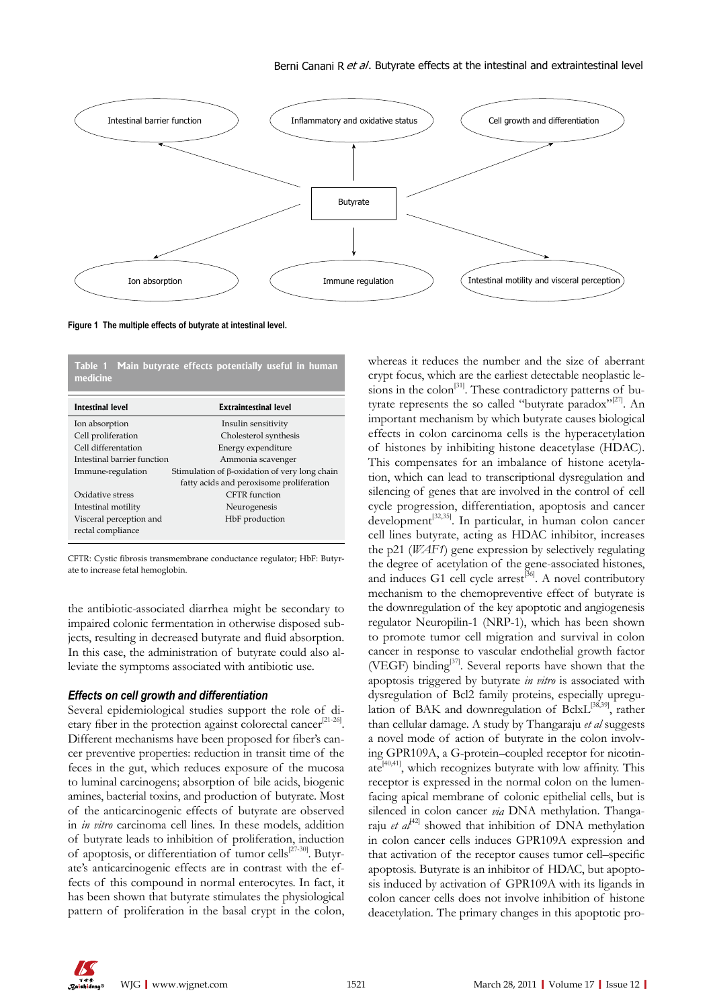

**Figure 1 The multiple effects of butyrate at intestinal level.**

**Table 1 Main butyrate effects potentially useful in human medicine**

| Intestinal level            | <b>Extraintestinal level</b>                         |
|-----------------------------|------------------------------------------------------|
| Ion absorption              | Insulin sensitivity                                  |
| Cell proliferation          | Cholesterol synthesis                                |
| Cell differentation         | Energy expenditure                                   |
| Intestinal barrier function | Ammonia scavenger                                    |
| Immune-regulation           | Stimulation of $\beta$ -oxidation of very long chain |
|                             | fatty acids and peroxisome proliferation             |
| Oxidative stress            | CFTR function                                        |
| Intestinal motility         | Neurogenesis                                         |
| Visceral perception and     | HbF production                                       |
| rectal compliance           |                                                      |
|                             |                                                      |

CFTR: Cystic fibrosis transmembrane conductance regulator; HbF: Butyrate to increase fetal hemoglobin.

the antibiotic-associated diarrhea might be secondary to impaired colonic fermentation in otherwise disposed subjects, resulting in decreased butyrate and fluid absorption. In this case, the administration of butyrate could also alleviate the symptoms associated with antibiotic use.

### *Effects on cell growth and differentiation*

Several epidemiological studies support the role of dietary fiber in the protection against colorectal cancer<sup>[21-26]</sup>. Different mechanisms have been proposed for fiber's cancer preventive properties: reduction in transit time of the feces in the gut, which reduces exposure of the mucosa to luminal carcinogens; absorption of bile acids, biogenic amines, bacterial toxins, and production of butyrate. Most of the anticarcinogenic effects of butyrate are observed in *in vitro* carcinoma cell lines. In these models, addition of butyrate leads to inhibition of proliferation, induction of apoptosis, or differentiation of tumor cells<sup>[27-30]</sup>. Butyrate's anticarcinogenic effects are in contrast with the effects of this compound in normal enterocytes. In fact, it has been shown that butyrate stimulates the physiological pattern of proliferation in the basal crypt in the colon,

whereas it reduces the number and the size of aberrant crypt focus, which are the earliest detectable neoplastic lesions in the  $\text{colon}$ <sup>[31]</sup>. These contradictory patterns of butyrate represents the so called "butyrate paradox"<sup>[27]</sup>. An important mechanism by which butyrate causes biological effects in colon carcinoma cells is the hyperacetylation of histones by inhibiting histone deacetylase (HDAC). This compensates for an imbalance of histone acetylation, which can lead to transcriptional dysregulation and silencing of genes that are involved in the control of cell cycle progression, differentiation, apoptosis and cancer development[32,35]. In particular, in human colon cancer cell lines butyrate, acting as HDAC inhibitor, increases the p21 (*WAF1*) gene expression by selectively regulating the degree of acetylation of the gene-associated histones, and induces G1 cell cycle  $arrest^{[36]}$ . A novel contributory mechanism to the chemopreventive effect of butyrate is the downregulation of the key apoptotic and angiogenesis regulator Neuropilin-1 (NRP-1), which has been shown to promote tumor cell migration and survival in colon cancer in response to vascular endothelial growth factor (VEGF) binding<sup>[37]</sup>. Several reports have shown that the apoptosis triggered by butyrate *in vitro* is associated with dysregulation of Bcl2 family proteins, especially upregulation of BAK and downregulation of BclxL<sup>[38,39]</sup>, rather than cellular damage. A study by Thangaraju *et al* suggests a novel mode of action of butyrate in the colon involving GPR109A, a G-protein–coupled receptor for nicotinate $[40,41]$ , which recognizes butyrate with low affinity. This receptor is expressed in the normal colon on the lumenfacing apical membrane of colonic epithelial cells, but is silenced in colon cancer *via* DNA methylation. Thangaraju *et al*<sup> $42$ ]</sup> showed that inhibition of DNA methylation in colon cancer cells induces GPR109A expression and that activation of the receptor causes tumor cell–specific apoptosis. Butyrate is an inhibitor of HDAC, but apoptosis induced by activation of GPR109A with its ligands in colon cancer cells does not involve inhibition of histone deacetylation. The primary changes in this apoptotic pro-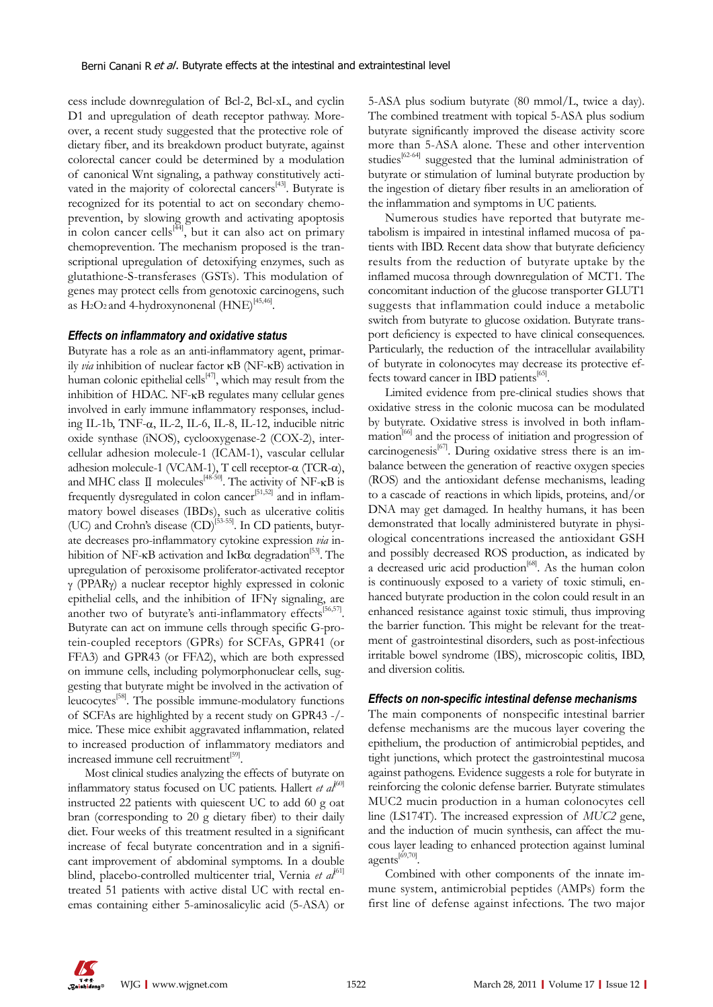cess include downregulation of Bcl-2, Bcl-xL, and cyclin D1 and upregulation of death receptor pathway. Moreover, a recent study suggested that the protective role of dietary fiber, and its breakdown product butyrate, against colorectal cancer could be determined by a modulation of canonical Wnt signaling, a pathway constitutively activated in the majority of colorectal cancers<sup>[43]</sup>. Butyrate is recognized for its potential to act on secondary chemoprevention, by slowing growth and activating apoptosis in colon cancer cells $\left[\frac{44}{7}\right]$ , but it can also act on primary chemoprevention. The mechanism proposed is the transcriptional upregulation of detoxifying enzymes, such as glutathione-S-transferases (GSTs). This modulation of genes may protect cells from genotoxic carcinogens, such as  $H_2O_2$  and 4-hydroxynonenal  $(HNE)^{[45,46]}$ .

### *Effects on inflammatory and oxidative status*

Butyrate has a role as an anti-inflammatory agent, primarily *via* inhibition of nuclear factor κB (NF-κB) activation in human colonic epithelial cells $[47]$ , which may result from the inhibition of HDAC. NF-κB regulates many cellular genes involved in early immune inflammatory responses, including IL-1b, TNF-α, IL-2, IL-6, IL-8, IL-12, inducible nitric oxide synthase (iNOS), cyclooxygenase-2 (COX-2), intercellular adhesion molecule-1 (ICAM-1), vascular cellular adhesion molecule-1 (VCAM-1), T cell receptor-α (TCR-α), and MHC class  $\Box$  molecules<sup>[48-50]</sup>. The activity of NF- $\kappa$ B is frequently dysregulated in colon cancer<sup>[51,52]</sup> and in inflammatory bowel diseases (IBDs), such as ulcerative colitis (UC) and Crohn's disease (CD)<sup>[53-55]</sup>. In CD patients, butyrate decreases pro-inflammatory cytokine expression *via* inhibition of NF-κB activation and IκBα degradation<sup>[53]</sup>. The upregulation of peroxisome proliferator-activated receptor γ (PPARγ) a nuclear receptor highly expressed in colonic epithelial cells, and the inhibition of IFNγ signaling, are another two of butyrate's anti-inflammatory effects<sup>[56,57]</sup>. Butyrate can act on immune cells through specific G-protein-coupled receptors (GPRs) for SCFAs, GPR41 (or FFA3) and GPR43 (or FFA2), which are both expressed on immune cells, including polymorphonuclear cells, suggesting that butyrate might be involved in the activation of leucocytes<sup>[58]</sup>. The possible immune-modulatory functions of SCFAs are highlighted by a recent study on GPR43 -/ mice. These mice exhibit aggravated inflammation, related to increased production of inflammatory mediators and increased immune cell recruitment<sup>[59]</sup>.

Most clinical studies analyzing the effects of butyrate on inflammatory status focused on UC patients. Hallert *et al*<sup>[60]</sup> instructed 22 patients with quiescent UC to add 60 g oat bran (corresponding to 20 g dietary fiber) to their daily diet. Four weeks of this treatment resulted in a significant increase of fecal butyrate concentration and in a significant improvement of abdominal symptoms. In a double blind, placebo-controlled multicenter trial, Vernia et al<sup>[61]</sup> treated 51 patients with active distal UC with rectal enemas containing either 5-aminosalicylic acid (5-ASA) or

5-ASA plus sodium butyrate (80 mmol/L, twice a day). The combined treatment with topical 5-ASA plus sodium butyrate significantly improved the disease activity score more than 5-ASA alone. These and other intervention studies<sup>[62-64]</sup> suggested that the luminal administration of butyrate or stimulation of luminal butyrate production by the ingestion of dietary fiber results in an amelioration of the inflammation and symptoms in UC patients.

Numerous studies have reported that butyrate metabolism is impaired in intestinal inflamed mucosa of patients with IBD. Recent data show that butyrate deficiency results from the reduction of butyrate uptake by the inflamed mucosa through downregulation of MCT1. The concomitant induction of the glucose transporter GLUT1 suggests that inflammation could induce a metabolic switch from butyrate to glucose oxidation. Butyrate transport deficiency is expected to have clinical consequences. Particularly, the reduction of the intracellular availability of butyrate in colonocytes may decrease its protective effects toward cancer in IBD patients<sup>[65]</sup>.

Limited evidence from pre-clinical studies shows that oxidative stress in the colonic mucosa can be modulated by butyrate. Oxidative stress is involved in both inflammation<sup>[66]</sup> and the process of initiation and progression of carcinogenesis<sup>[67]</sup>. During oxidative stress there is an imbalance between the generation of reactive oxygen species (ROS) and the antioxidant defense mechanisms, leading to a cascade of reactions in which lipids, proteins, and/or DNA may get damaged. In healthy humans, it has been demonstrated that locally administered butyrate in physiological concentrations increased the antioxidant GSH and possibly decreased ROS production, as indicated by a decreased uric acid production<sup>[68]</sup>. As the human colon is continuously exposed to a variety of toxic stimuli, enhanced butyrate production in the colon could result in an enhanced resistance against toxic stimuli, thus improving the barrier function. This might be relevant for the treatment of gastrointestinal disorders, such as post-infectious irritable bowel syndrome (IBS), microscopic colitis, IBD, and diversion colitis.

#### *Effects on non-specific intestinal defense mechanisms*

The main components of nonspecific intestinal barrier defense mechanisms are the mucous layer covering the epithelium, the production of antimicrobial peptides, and tight junctions, which protect the gastrointestinal mucosa against pathogens. Evidence suggests a role for butyrate in reinforcing the colonic defense barrier. Butyrate stimulates MUC2 mucin production in a human colonocytes cell line (LS174T). The increased expression of *MUC2* gene, and the induction of mucin synthesis, can affect the mucous layer leading to enhanced protection against luminal  $agents^{[69,70]}.$ 

Combined with other components of the innate immune system, antimicrobial peptides (AMPs) form the first line of defense against infections. The two major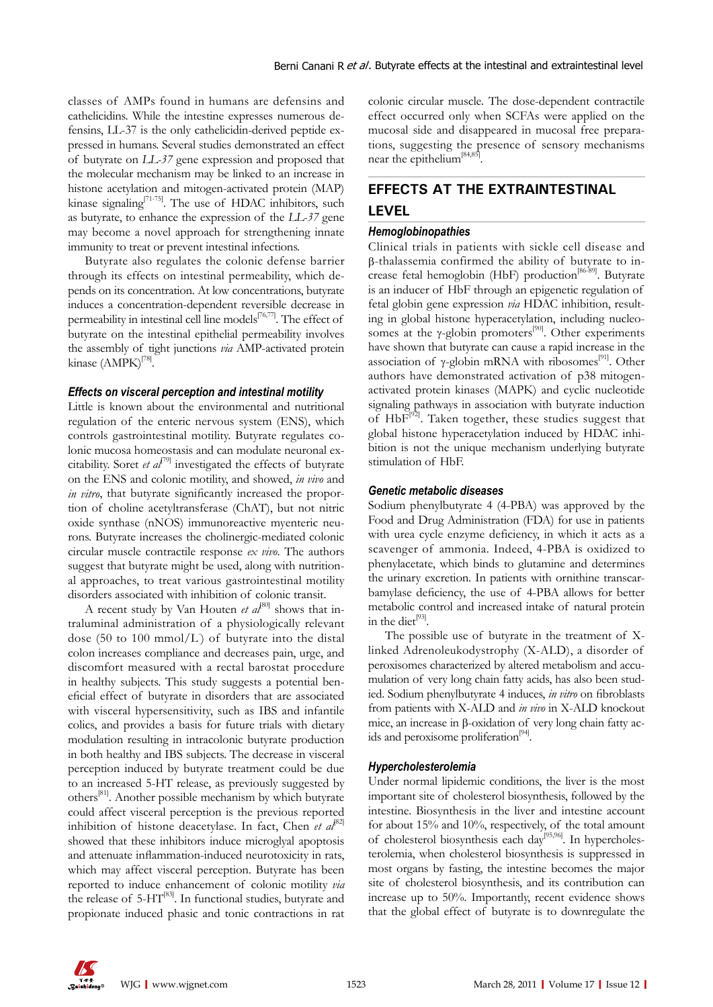classes of AMPs found in humans are defensins and cathelicidins. While the intestine expresses numerous defensins, LL-37 is the only cathelicidin-derived peptide expressed in humans. Several studies demonstrated an effect of butyrate on *LL-37* gene expression and proposed that the molecular mechanism may be linked to an increase in histone acetylation and mitogen-activated protein (MAP) kinase signaling<sup>[71-75]</sup>. The use of HDAC inhibitors, such as butyrate, to enhance the expression of the *LL-37* gene may become a novel approach for strengthening innate immunity to treat or prevent intestinal infections.

Butyrate also regulates the colonic defense barrier through its effects on intestinal permeability, which depends on its concentration. At low concentrations, butyrate induces a concentration-dependent reversible decrease in permeability in intestinal cell line models $[76,77]$ . The effect of butyrate on the intestinal epithelial permeability involves the assembly of tight junctions *via* AMP-activated protein kinase (AMPK)<sup>[78]</sup>.

### *Effects on visceral perception and intestinal motility*

Little is known about the environmental and nutritional regulation of the enteric nervous system (ENS), which controls gastrointestinal motility. Butyrate regulates colonic mucosa homeostasis and can modulate neuronal excitability. Soret *et al*<sup>[79]</sup> investigated the effects of butyrate on the ENS and colonic motility, and showed, *in vivo* and *in vitro*, that butyrate significantly increased the proportion of choline acetyltransferase (ChAT), but not nitric oxide synthase (nNOS) immunoreactive myenteric neurons. Butyrate increases the cholinergic-mediated colonic circular muscle contractile response *ex vivo*. The authors suggest that butyrate might be used, along with nutritional approaches, to treat various gastrointestinal motility disorders associated with inhibition of colonic transit.

A recent study by Van Houten *et al*<sup>80]</sup> shows that intraluminal administration of a physiologically relevant dose (50 to 100 mmol/L) of butyrate into the distal colon increases compliance and decreases pain, urge, and discomfort measured with a rectal barostat procedure in healthy subjects. This study suggests a potential beneficial effect of butyrate in disorders that are associated with visceral hypersensitivity, such as IBS and infantile colics, and provides a basis for future trials with dietary modulation resulting in intracolonic butyrate production in both healthy and IBS subjects. The decrease in visceral perception induced by butyrate treatment could be due to an increased 5-HT release, as previously suggested by others[81]. Another possible mechanism by which butyrate could affect visceral perception is the previous reported inhibition of histone deacetylase. In fact, Chen *et al*<sup>82]</sup> showed that these inhibitors induce microglyal apoptosis and attenuate inflammation-induced neurotoxicity in rats, which may affect visceral perception. Butyrate has been reported to induce enhancement of colonic motility *via*  the release of 5-HT[83]. In functional studies, butyrate and propionate induced phasic and tonic contractions in rat

colonic circular muscle. The dose-dependent contractile effect occurred only when SCFAs were applied on the mucosal side and disappeared in mucosal free preparations, suggesting the presence of sensory mechanisms near the epithelium<sup>[84,85]</sup>

## **EFFECTS AT THE EXTRAINTESTINAL LEVEL**

### *Hemoglobinopathies*

Clinical trials in patients with sickle cell disease and β-thalassemia confirmed the ability of butyrate to increase fetal hemoglobin (HbF) production<sup>[86-89]</sup>. Butyrate is an inducer of HbF through an epigenetic regulation of fetal globin gene expression *via* HDAC inhibition, resulting in global histone hyperacetylation, including nucleosomes at the  $\gamma$ -globin promoters<sup>[90]</sup>. Other experiments have shown that butyrate can cause a rapid increase in the association of γ-globin mRNA with ribosomes<sup>[91]</sup>. Other authors have demonstrated activation of p38 mitogenactivated protein kinases (MAPK) and cyclic nucleotide signaling pathways in association with butyrate induction of  $HbF^{[92]}$ . Taken together, these studies suggest that global histone hyperacetylation induced by HDAC inhibition is not the unique mechanism underlying butyrate stimulation of HbF.

### *Genetic metabolic diseases*

Sodium phenylbutyrate 4 (4-PBA) was approved by the Food and Drug Administration (FDA) for use in patients with urea cycle enzyme deficiency, in which it acts as a scavenger of ammonia. Indeed, 4-PBA is oxidized to phenylacetate, which binds to glutamine and determines the urinary excretion. In patients with ornithine transcarbamylase deficiency, the use of 4-PBA allows for better metabolic control and increased intake of natural protein in the diet $^{[93]}$ .

The possible use of butyrate in the treatment of X-linked Adrenoleukodystrophy (X-ALD), a disorder of peroxisomes characterized by altered metabolism and accumulation of very long chain fatty acids, has also been studied. Sodium phenylbutyrate 4 induces, *in vitro* on fibroblasts from patients with X-ALD and *in vivo* in X-ALD knockout mice, an increase in β-oxidation of very long chain fatty acids and peroxisome proliferation<sup>[94]</sup>.

### *Hypercholesterolemia*

Under normal lipidemic conditions, the liver is the most important site of cholesterol biosynthesis, followed by the intestine. Biosynthesis in the liver and intestine account for about 15% and 10%, respectively, of the total amount of cholesterol biosynthesis each day[95,96]. In hypercholesterolemia, when cholesterol biosynthesis is suppressed in most organs by fasting, the intestine becomes the major site of cholesterol biosynthesis, and its contribution can increase up to 50%. Importantly, recent evidence shows that the global effect of butyrate is to downregulate the

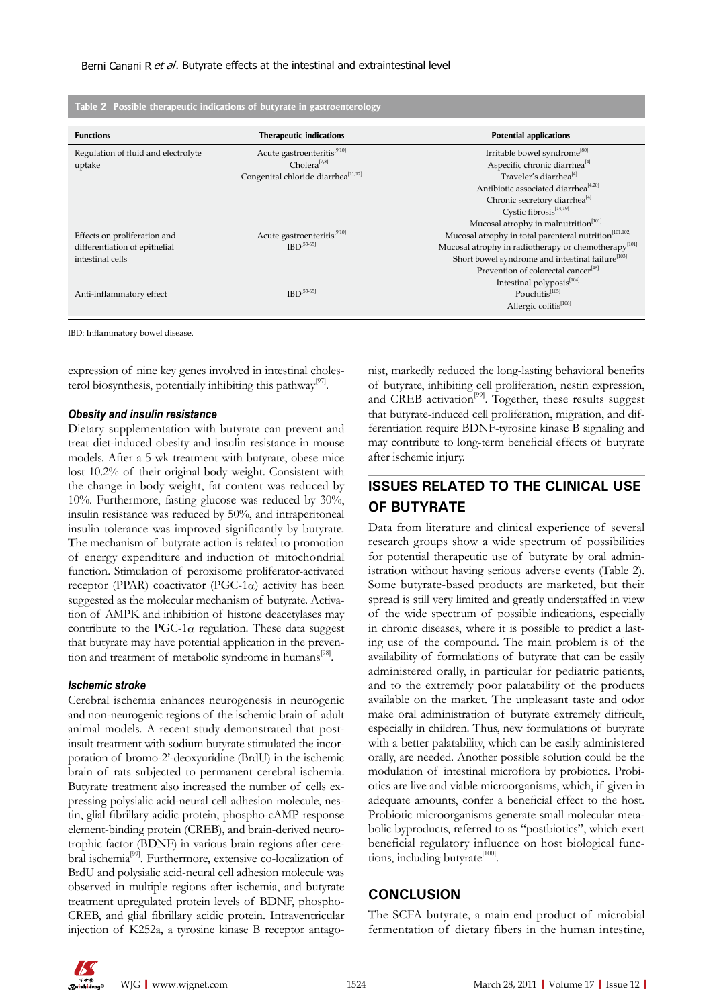| Table 2 Possible therapeutic indications of butyrate in gastroenterology |                                                 |                                                                    |  |
|--------------------------------------------------------------------------|-------------------------------------------------|--------------------------------------------------------------------|--|
| <b>Functions</b>                                                         | Therapeutic indications                         | <b>Potential applications</b>                                      |  |
| Regulation of fluid and electrolyte                                      | Acute gastroenteritis <sup>[9,10]</sup>         | Irritable bowel syndrome <sup>[80]</sup>                           |  |
| uptake                                                                   | $Cholera^{[7,8]}$                               | Aspecific chronic diarrhea <sup>[4]</sup>                          |  |
|                                                                          | Congenital chloride diarrhea <sup>[11,12]</sup> | Traveler's diarrhea <sup>[4]</sup>                                 |  |
|                                                                          |                                                 | Antibiotic associated diarrhea <sup>[4,20]</sup>                   |  |
|                                                                          |                                                 | Chronic secretory diarrhea <sup>[4]</sup>                          |  |
|                                                                          |                                                 | Cystic fibrosis <sup>[14,19]</sup>                                 |  |
|                                                                          |                                                 | Mucosal atrophy in malnutrition <sup>[101]</sup>                   |  |
| Effects on proliferation and                                             | Acute gastroenteritis <sup>[9,10]</sup>         | Mucosal atrophy in total parenteral nutrition <sup>[101,102]</sup> |  |
| differentiation of epithelial                                            | $IBD^{[53-65]}$                                 | Mucosal atrophy in radiotherapy or chemotherapy <sup>[101]</sup>   |  |
| intestinal cells                                                         |                                                 | Short bowel syndrome and intestinal failure <sup>[103]</sup>       |  |
|                                                                          |                                                 | Prevention of colorectal cancer <sup>[46]</sup>                    |  |
|                                                                          |                                                 | Intestinal polyposis <sup>[104]</sup>                              |  |
| Anti-inflammatory effect                                                 | $IBD^{[53-65]}$                                 | Pouchitis[105]                                                     |  |
|                                                                          |                                                 | Allergic colitis <sup>[106]</sup>                                  |  |
|                                                                          |                                                 |                                                                    |  |

IBD: Inflammatory bowel disease.

expression of nine key genes involved in intestinal cholesterol biosynthesis, potentially inhibiting this pathway<sup>[97]</sup>.

#### *Obesity and insulin resistance*

Dietary supplementation with butyrate can prevent and treat diet-induced obesity and insulin resistance in mouse models. After a 5-wk treatment with butyrate, obese mice lost 10.2% of their original body weight. Consistent with the change in body weight, fat content was reduced by 10%. Furthermore, fasting glucose was reduced by 30%, insulin resistance was reduced by 50%, and intraperitoneal insulin tolerance was improved significantly by butyrate. The mechanism of butyrate action is related to promotion of energy expenditure and induction of mitochondrial function. Stimulation of peroxisome proliferator-activated receptor (PPAR) coactivator (PGC-1 $\alpha$ ) activity has been suggested as the molecular mechanism of butyrate. Activation of AMPK and inhibition of histone deacetylases may contribute to the PGC-1 $\alpha$  regulation. These data suggest that butyrate may have potential application in the prevention and treatment of metabolic syndrome in humans<sup>[98]</sup>.

### *Ischemic stroke*

Cerebral ischemia enhances neurogenesis in neurogenic and non-neurogenic regions of the ischemic brain of adult animal models. A recent study demonstrated that postinsult treatment with sodium butyrate stimulated the incorporation of bromo-2'-deoxyuridine (BrdU) in the ischemic brain of rats subjected to permanent cerebral ischemia. Butyrate treatment also increased the number of cells expressing polysialic acid-neural cell adhesion molecule, nestin, glial fibrillary acidic protein, phospho-cAMP response element-binding protein (CREB), and brain-derived neurotrophic factor (BDNF) in various brain regions after cerebral ischemia<sup>[99]</sup>. Furthermore, extensive co-localization of BrdU and polysialic acid-neural cell adhesion molecule was observed in multiple regions after ischemia, and butyrate treatment upregulated protein levels of BDNF, phospho-CREB, and glial fibrillary acidic protein. Intraventricular injection of K252a, a tyrosine kinase B receptor antagonist, markedly reduced the long-lasting behavioral benefits of butyrate, inhibiting cell proliferation, nestin expression, and CREB activation<sup>[99]</sup>. Together, these results suggest that butyrate-induced cell proliferation, migration, and differentiation require BDNF-tyrosine kinase B signaling and may contribute to long-term beneficial effects of butyrate after ischemic injury.

### **ISSUES RELATED TO THE CLINICAL USE OF BUTYRATE**

Data from literature and clinical experience of several research groups show a wide spectrum of possibilities for potential therapeutic use of butyrate by oral administration without having serious adverse events (Table 2). Some butyrate-based products are marketed, but their spread is still very limited and greatly understaffed in view of the wide spectrum of possible indications, especially in chronic diseases, where it is possible to predict a lasting use of the compound. The main problem is of the availability of formulations of butyrate that can be easily administered orally, in particular for pediatric patients, and to the extremely poor palatability of the products available on the market. The unpleasant taste and odor make oral administration of butyrate extremely difficult, especially in children. Thus, new formulations of butyrate with a better palatability, which can be easily administered orally, are needed. Another possible solution could be the modulation of intestinal microflora by probiotics. Probiotics are live and viable microorganisms, which, if given in adequate amounts, confer a beneficial effect to the host. Probiotic microorganisms generate small molecular metabolic byproducts, referred to as "postbiotics", which exert beneficial regulatory influence on host biological functions, including butyrate<sup>[100]</sup>.

### **CONCLUSION**

The SCFA butyrate, a main end product of microbial fermentation of dietary fibers in the human intestine,

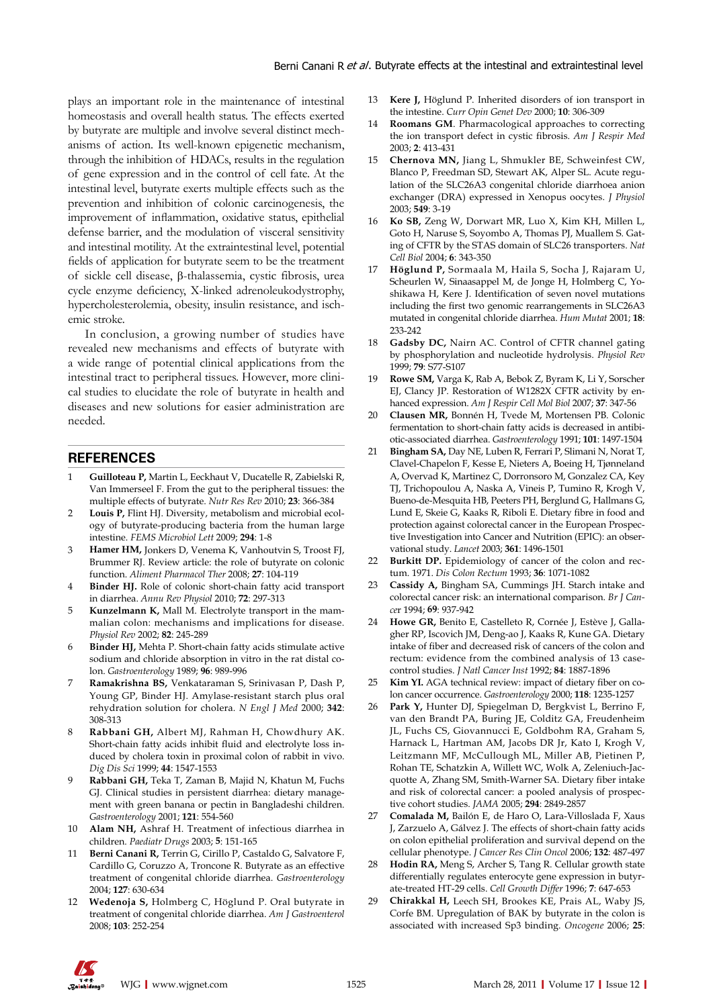plays an important role in the maintenance of intestinal homeostasis and overall health status. The effects exerted by butyrate are multiple and involve several distinct mechanisms of action. Its well-known epigenetic mechanism, through the inhibition of HDACs, results in the regulation of gene expression and in the control of cell fate. At the intestinal level, butyrate exerts multiple effects such as the prevention and inhibition of colonic carcinogenesis, the improvement of inflammation, oxidative status, epithelial defense barrier, and the modulation of visceral sensitivity and intestinal motility. At the extraintestinal level, potential fields of application for butyrate seem to be the treatment of sickle cell disease, β-thalassemia, cystic fibrosis, urea cycle enzyme deficiency, X-linked adrenoleukodystrophy, hypercholesterolemia, obesity, insulin resistance, and ischemic stroke.

In conclusion, a growing number of studies have revealed new mechanisms and effects of butyrate with a wide range of potential clinical applications from the intestinal tract to peripheral tissues. However, more clinical studies to elucidate the role of butyrate in health and diseases and new solutions for easier administration are needed.

### **REFERENCES**

- 1 **Guilloteau P,** Martin L, Eeckhaut V, Ducatelle R, Zabielski R, Van Immerseel F. From the gut to the peripheral tissues: the multiple effects of butyrate. *Nutr Res Rev* 2010; **23**: 366-384
- 2 **Louis P,** Flint HJ. Diversity, metabolism and microbial ecology of butyrate-producing bacteria from the human large intestine. *FEMS Microbiol Lett* 2009; **294**: 1-8
- 3 **Hamer HM,** Jonkers D, Venema K, Vanhoutvin S, Troost FJ, Brummer RJ. Review article: the role of butyrate on colonic function. *Aliment Pharmacol Ther* 2008; **27**: 104-119
- 4 **Binder HJ.** Role of colonic short-chain fatty acid transport in diarrhea. *Annu Rev Physiol* 2010; **72**: 297-313
- 5 **Kunzelmann K,** Mall M. Electrolyte transport in the mammalian colon: mechanisms and implications for disease. *Physiol Rev* 2002; **82**: 245-289
- 6 **Binder HJ,** Mehta P. Short-chain fatty acids stimulate active sodium and chloride absorption in vitro in the rat distal colon. *Gastroenterology* 1989; **96**: 989-996
- 7 **Ramakrishna BS,** Venkataraman S, Srinivasan P, Dash P, Young GP, Binder HJ. Amylase-resistant starch plus oral rehydration solution for cholera. *N Engl J Med* 2000; **342**: 308-313
- 8 **Rabbani GH,** Albert MJ, Rahman H, Chowdhury AK. Short-chain fatty acids inhibit fluid and electrolyte loss induced by cholera toxin in proximal colon of rabbit in vivo. *Dig Dis Sci* 1999; **44**: 1547-1553
- 9 **Rabbani GH,** Teka T, Zaman B, Majid N, Khatun M, Fuchs GJ. Clinical studies in persistent diarrhea: dietary management with green banana or pectin in Bangladeshi children. *Gastroenterology* 2001; **121**: 554-560
- 10 **Alam NH,** Ashraf H. Treatment of infectious diarrhea in children. *Paediatr Drugs* 2003; **5**: 151-165
- 11 **Berni Canani R,** Terrin G, Cirillo P, Castaldo G, Salvatore F, Cardillo G, Coruzzo A, Troncone R. Butyrate as an effective treatment of congenital chloride diarrhea. *Gastroenterology*  2004; **127**: 630-634
- 12 **Wedenoja S,** Holmberg C, Höglund P. Oral butyrate in treatment of congenital chloride diarrhea. *Am J Gastroenterol* 2008; **103**: 252-254
- Kere J, Höglund P. Inherited disorders of ion transport in the intestine. *Curr Opin Genet Dev* 2000; **10**: 306-309
- Roomans GM. Pharmacological approaches to correcting the ion transport defect in cystic fibrosis. *Am J Respir Med* 2003; **2**: 413-431
- 15 **Chernova MN,** Jiang L, Shmukler BE, Schweinfest CW, Blanco P, Freedman SD, Stewart AK, Alper SL. Acute regulation of the SLC26A3 congenital chloride diarrhoea anion exchanger (DRA) expressed in Xenopus oocytes. *J Physiol*  2003; **549**: 3-19
- 16 **Ko SB,** Zeng W, Dorwart MR, Luo X, Kim KH, Millen L, Goto H, Naruse S, Soyombo A, Thomas PJ, Muallem S. Gating of CFTR by the STAS domain of SLC26 transporters. *Nat Cell Biol* 2004; **6**: 343-350
- 17 **Höglund P,** Sormaala M, Haila S, Socha J, Rajaram U, Scheurlen W, Sinaasappel M, de Jonge H, Holmberg C, Yoshikawa H, Kere J. Identification of seven novel mutations including the first two genomic rearrangements in SLC26A3 mutated in congenital chloride diarrhea. *Hum Mutat* 2001; **18**: 233-242
- 18 **Gadsby DC,** Nairn AC. Control of CFTR channel gating by phosphorylation and nucleotide hydrolysis. *Physiol Rev*  1999; **79**: S77-S107
- 19 **Rowe SM,** Varga K, Rab A, Bebok Z, Byram K, Li Y, Sorscher EJ, Clancy JP. Restoration of W1282X CFTR activity by enhanced expression. *Am J Respir Cell Mol Biol* 2007; **37**: 347-56
- 20 **Clausen MR,** Bonnén H, Tvede M, Mortensen PB. Colonic fermentation to short-chain fatty acids is decreased in antibiotic-associated diarrhea. *Gastroenterology* 1991; **101**: 1497-1504
- 21 **Bingham SA,** Day NE, Luben R, Ferrari P, Slimani N, Norat T, Clavel-Chapelon F, Kesse E, Nieters A, Boeing H, Tjønneland A, Overvad K, Martinez C, Dorronsoro M, Gonzalez CA, Key TJ, Trichopoulou A, Naska A, Vineis P, Tumino R, Krogh V, Bueno-de-Mesquita HB, Peeters PH, Berglund G, Hallmans G, Lund E, Skeie G, Kaaks R, Riboli E. Dietary fibre in food and protection against colorectal cancer in the European Prospective Investigation into Cancer and Nutrition (EPIC): an observational study. *Lancet* 2003; **361**: 1496-1501
- 22 **Burkitt DP.** Epidemiology of cancer of the colon and rectum. 1971. *Dis Colon Rectum* 1993; **36**: 1071-1082
- 23 **Cassidy A,** Bingham SA, Cummings JH. Starch intake and colorectal cancer risk: an international comparison. *Br J Cance*r 1994; **69**: 937-942
- 24 **Howe GR,** Benito E, Castelleto R, Cornée J, Estève J, Gallagher RP, Iscovich JM, Deng-ao J, Kaaks R, Kune GA. Dietary intake of fiber and decreased risk of cancers of the colon and rectum: evidence from the combined analysis of 13 casecontrol studies. *J Natl Cancer Inst* 1992; **84**: 1887-1896
- 25 **Kim YI.** AGA technical review: impact of dietary fiber on colon cancer occurrence. *Gastroenterology* 2000; **118**: 1235-1257
- 26 **Park Y,** Hunter DJ, Spiegelman D, Bergkvist L, Berrino F, van den Brandt PA, Buring JE, Colditz GA, Freudenheim JL, Fuchs CS, Giovannucci E, Goldbohm RA, Graham S, Harnack L, Hartman AM, Jacobs DR Jr, Kato I, Krogh V, Leitzmann MF, McCullough ML, Miller AB, Pietinen P, Rohan TE, Schatzkin A, Willett WC, Wolk A, Zeleniuch-Jacquotte A, Zhang SM, Smith-Warner SA. Dietary fiber intake and risk of colorectal cancer: a pooled analysis of prospective cohort studies. *JAMA* 2005; **294**: 2849-2857
- 27 **Comalada M,** Bailón E, de Haro O, Lara-Villoslada F, Xaus J, Zarzuelo A, Gálvez J. The effects of short-chain fatty acids on colon epithelial proliferation and survival depend on the cellular phenotype. *J Cancer Res Clin Oncol* 2006; **132**: 487-497
- Hodin RA, Meng S, Archer S, Tang R. Cellular growth state differentially regulates enterocyte gene expression in butyrate-treated HT-29 cells. *Cell Growth Differ* 1996; **7**: 647-653
- 29 **Chirakkal H,** Leech SH, Brookes KE, Prais AL, Waby JS, Corfe BM. Upregulation of BAK by butyrate in the colon is associated with increased Sp3 binding. *Oncogene* 2006; **25**: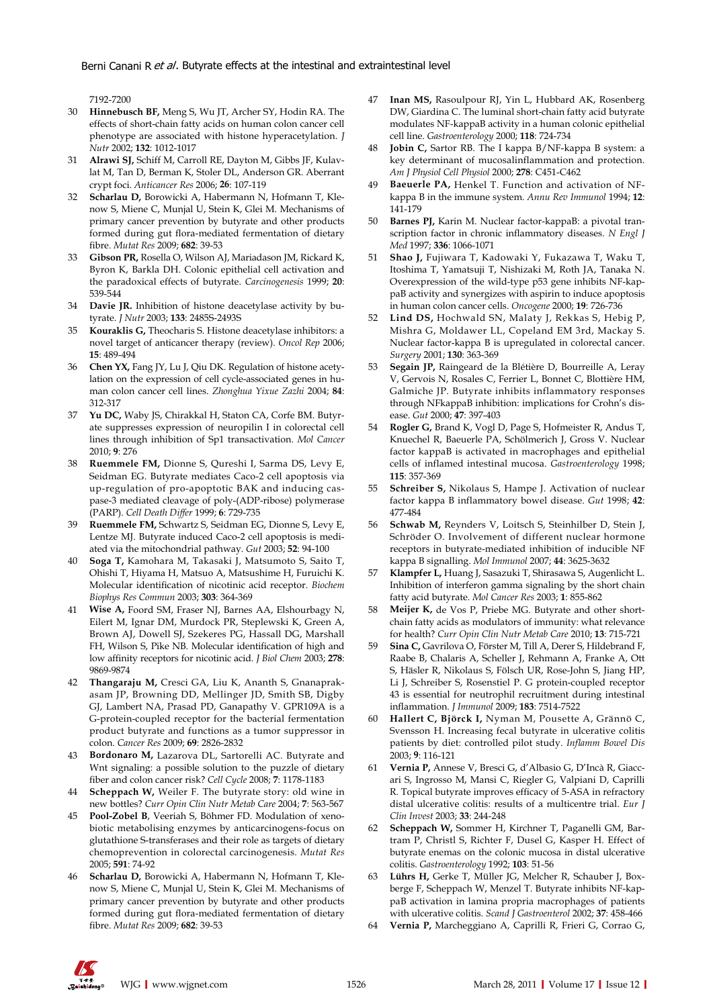7192-7200

- 30 **Hinnebusch BF,** Meng S, Wu JT, Archer SY, Hodin RA. The effects of short-chain fatty acids on human colon cancer cell phenotype are associated with histone hyperacetylation. *J Nutr* 2002; **132**: 1012-1017
- 31 **Alrawi SJ,** Schiff M, Carroll RE, Dayton M, Gibbs JF, Kulavlat M, Tan D, Berman K, Stoler DL, Anderson GR. Aberrant crypt foci. *Anticancer Res* 2006; **26**: 107-119
- 32 **Scharlau D,** Borowicki A, Habermann N, Hofmann T, Klenow S, Miene C, Munjal U, Stein K, Glei M. Mechanisms of primary cancer prevention by butyrate and other products formed during gut flora-mediated fermentation of dietary fibre. *Mutat Res* 2009; **682**: 39-53
- 33 **Gibson PR,** Rosella O, Wilson AJ, Mariadason JM, Rickard K, Byron K, Barkla DH. Colonic epithelial cell activation and the paradoxical effects of butyrate. *Carcinogenesis* 1999; **20**: 539-544
- 34 **Davie JR.** Inhibition of histone deacetylase activity by butyrate. *J Nutr* 2003; **133**: 2485S-2493S
- 35 **Kouraklis G,** Theocharis S. Histone deacetylase inhibitors: a novel target of anticancer therapy (review). *Oncol Rep* 2006; **15**: 489-494
- 36 **Chen YX,** Fang JY, Lu J, Qiu DK. Regulation of histone acetylation on the expression of cell cycle-associated genes in human colon cancer cell lines. *Zhonghua Yixue Zazhi* 2004; **84**: 312-317
- 37 **Yu DC,** Waby JS, Chirakkal H, Staton CA, Corfe BM. Butyrate suppresses expression of neuropilin I in colorectal cell lines through inhibition of Sp1 transactivation. *Mol Cancer*  2010; **9**: 276
- 38 **Ruemmele FM,** Dionne S, Qureshi I, Sarma DS, Levy E, Seidman EG. Butyrate mediates Caco-2 cell apoptosis via up-regulation of pro-apoptotic BAK and inducing caspase-3 mediated cleavage of poly-(ADP-ribose) polymerase (PARP). *Cell Death Differ* 1999; **6**: 729-735
- 39 **Ruemmele FM,** Schwartz S, Seidman EG, Dionne S, Levy E, Lentze MJ. Butyrate induced Caco-2 cell apoptosis is mediated via the mitochondrial pathway. *Gut* 2003; **52**: 94-100
- 40 **Soga T,** Kamohara M, Takasaki J, Matsumoto S, Saito T, Ohishi T, Hiyama H, Matsuo A, Matsushime H, Furuichi K. Molecular identification of nicotinic acid receptor. *Biochem Biophys Res Commun* 2003; **303**: 364-369
- 41 **Wise A,** Foord SM, Fraser NJ, Barnes AA, Elshourbagy N, Eilert M, Ignar DM, Murdock PR, Steplewski K, Green A, Brown AJ, Dowell SJ, Szekeres PG, Hassall DG, Marshall FH, Wilson S, Pike NB. Molecular identification of high and low affinity receptors for nicotinic acid. *J Biol Chem* 2003; **278**: 9869-9874
- 42 **Thangaraju M,** Cresci GA, Liu K, Ananth S, Gnanaprakasam JP, Browning DD, Mellinger JD, Smith SB, Digby GJ, Lambert NA, Prasad PD, Ganapathy V. GPR109A is a G-protein-coupled receptor for the bacterial fermentation product butyrate and functions as a tumor suppressor in colon. *Cancer Res* 2009; **69**: 2826-2832
- 43 **Bordonaro M,** Lazarova DL, Sartorelli AC. Butyrate and Wnt signaling: a possible solution to the puzzle of dietary fiber and colon cancer risk? *Cell Cycle* 2008; **7**: 1178-1183
- 44 **Scheppach W,** Weiler F. The butyrate story: old wine in new bottles? *Curr Opin Clin Nutr Metab Care* 2004; **7**: 563-567
- 45 **Pool-Zobel B**, Veeriah S, Böhmer FD. Modulation of xenobiotic metabolising enzymes by anticarcinogens-focus on glutathione S-transferases and their role as targets of dietary chemoprevention in colorectal carcinogenesis. *Mutat Res*  2005; **591**: 74-92
- 46 **Scharlau D,** Borowicki A, Habermann N, Hofmann T, Klenow S, Miene C, Munjal U, Stein K, Glei M. Mechanisms of primary cancer prevention by butyrate and other products formed during gut flora-mediated fermentation of dietary fibre. *Mutat Res* 2009; **682**: 39-53
- 47 **Inan MS,** Rasoulpour RJ, Yin L, Hubbard AK, Rosenberg DW, Giardina C. The luminal short-chain fatty acid butyrate modulates NF-kappaB activity in a human colonic epithelial cell line. *Gastroenterology* 2000; **118**: 724-734
- 48 **Jobin C,** Sartor RB. The I kappa B/NF-kappa B system: a key determinant of mucosalinflammation and protection. *Am J Physiol Cell Physiol* 2000; **278**: C451-C462
- Baeuerle PA, Henkel T. Function and activation of NFkappa B in the immune system. *Annu Rev Immunol* 1994; **12**: 141-179
- 50 **Barnes PJ,** Karin M. Nuclear factor-kappaB: a pivotal transcription factor in chronic inflammatory diseases. *N Engl J Med* 1997; **336**: 1066-1071
- 51 **Shao J,** Fujiwara T, Kadowaki Y, Fukazawa T, Waku T, Itoshima T, Yamatsuji T, Nishizaki M, Roth JA, Tanaka N. Overexpression of the wild-type p53 gene inhibits NF-kappaB activity and synergizes with aspirin to induce apoptosis in human colon cancer cells. *Oncogene* 2000; **19**: 726-736
- Lind DS, Hochwald SN, Malaty J, Rekkas S, Hebig P, Mishra G, Moldawer LL, Copeland EM 3rd, Mackay S. Nuclear factor-kappa B is upregulated in colorectal cancer. *Surgery* 2001; **130**: 363-369
- 53 **Segain JP,** Raingeard de la Blétière D, Bourreille A, Leray V, Gervois N, Rosales C, Ferrier L, Bonnet C, Blottière HM, Galmiche JP. Butyrate inhibits inflammatory responses through NFkappaB inhibition: implications for Crohn's disease. *Gut* 2000; **47**: 397-403
- 54 **Rogler G,** Brand K, Vogl D, Page S, Hofmeister R, Andus T, Knuechel R, Baeuerle PA, Schölmerich J, Gross V. Nuclear factor kappaB is activated in macrophages and epithelial cells of inflamed intestinal mucosa. *Gastroenterology* 1998; **115**: 357-369
- 55 **Schreiber S,** Nikolaus S, Hampe J. Activation of nuclear factor kappa B inflammatory bowel disease. *Gut* 1998; **42**: 477-484
- 56 **Schwab M,** Reynders V, Loitsch S, Steinhilber D, Stein J, Schröder O. Involvement of different nuclear hormone receptors in butyrate-mediated inhibition of inducible NF kappa B signalling. *Mol Immunol* 2007; **44**: 3625-3632
- 57 **Klampfer L,** Huang J, Sasazuki T, Shirasawa S, Augenlicht L. Inhibition of interferon gamma signaling by the short chain fatty acid butyrate. *Mol Cancer Res* 2003; **1**: 855-862
- 58 **Meijer K,** de Vos P, Priebe MG. Butyrate and other shortchain fatty acids as modulators of immunity: what relevance for health? *Curr Opin Clin Nutr Metab Care* 2010; **13**: 715-721
- 59 **Sina C,** Gavrilova O, Förster M, Till A, Derer S, Hildebrand F, Raabe B, Chalaris A, Scheller J, Rehmann A, Franke A, Ott S, Häsler R, Nikolaus S, Fölsch UR, Rose-John S, Jiang HP, Li J, Schreiber S, Rosenstiel P. G protein-coupled receptor 43 is essential for neutrophil recruitment during intestinal inflammation. *J Immunol* 2009; **183**: 7514-7522
- 60 **Hallert C, Björck I,** Nyman M, Pousette A, Grännö C, Svensson H. Increasing fecal butyrate in ulcerative colitis patients by diet: controlled pilot study. *Inflamm Bowel Dis*  2003; **9**: 116-121
- 61 **Vernia P,** Annese V, Bresci G, d'Albasio G, D'Incà R, Giaccari S, Ingrosso M, Mansi C, Riegler G, Valpiani D, Caprilli R. Topical butyrate improves efficacy of 5-ASA in refractory distal ulcerative colitis: results of a multicentre trial. *Eur J Clin Invest* 2003; **33**: 244-248
- 62 **Scheppach W,** Sommer H, Kirchner T, Paganelli GM, Bartram P, Christl S, Richter F, Dusel G, Kasper H. Effect of butyrate enemas on the colonic mucosa in distal ulcerative colitis. *Gastroenterology* 1992; **103**: 51-56
- 63 **Lührs H,** Gerke T, Müller JG, Melcher R, Schauber J, Boxberge F, Scheppach W, Menzel T. Butyrate inhibits NF-kappaB activation in lamina propria macrophages of patients with ulcerative colitis. *Scand J Gastroenterol* 2002; **37**: 458-466
- 64 **Vernia P,** Marcheggiano A, Caprilli R, Frieri G, Corrao G,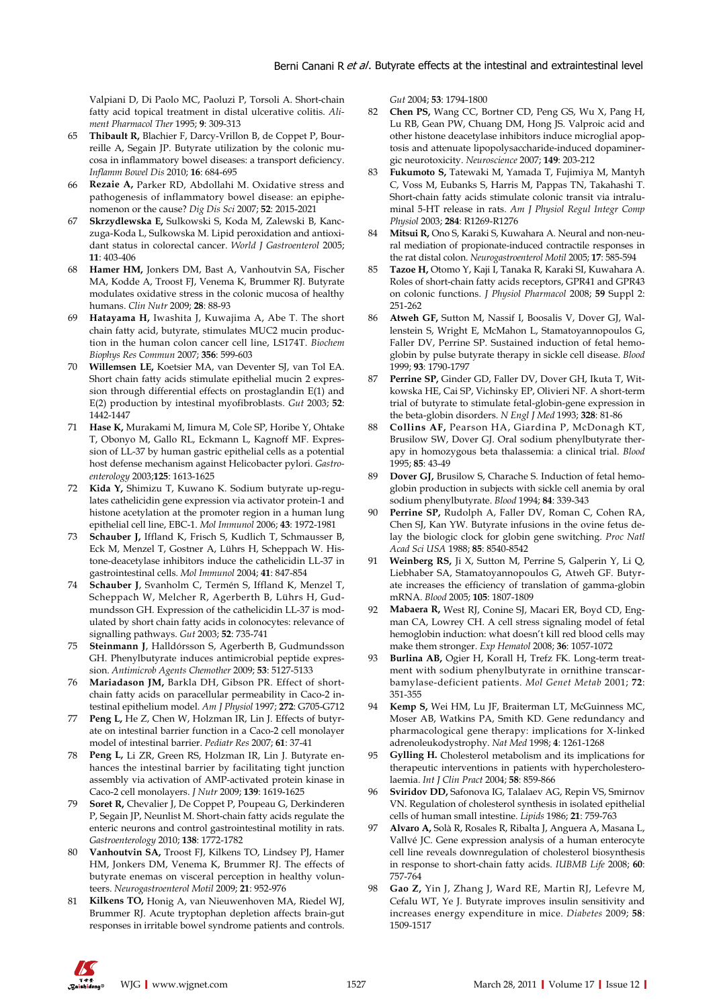Valpiani D, Di Paolo MC, Paoluzi P, Torsoli A. Short-chain fatty acid topical treatment in distal ulcerative colitis. *Aliment Pharmacol Ther* 1995; **9**: 309-313

- 65 **Thibault R,** Blachier F, Darcy-Vrillon B, de Coppet P, Bourreille A, Segain JP. Butyrate utilization by the colonic mucosa in inflammatory bowel diseases: a transport deficiency. *Inflamm Bowel Dis* 2010; **16**: 684-695
- 66 **Rezaie A,** Parker RD, Abdollahi M. Oxidative stress and pathogenesis of inflammatory bowel disease: an epiphenomenon or the cause? *Dig Dis Sci* 2007; **52**: 2015-2021
- 67 **Skrzydlewska E,** Sulkowski S, Koda M, Zalewski B, Kanczuga-Koda L, Sulkowska M. Lipid peroxidation and antioxidant status in colorectal cancer. *World J Gastroenterol* 2005; **11**: 403-406
- 68 **Hamer HM,** Jonkers DM, Bast A, Vanhoutvin SA, Fischer MA, Kodde A, Troost FJ, Venema K, Brummer RJ. Butyrate modulates oxidative stress in the colonic mucosa of healthy humans. *Clin Nutr* 2009; **28**: 88-93
- Hatayama H, Iwashita J, Kuwajima A, Abe T. The short chain fatty acid, butyrate, stimulates MUC2 mucin production in the human colon cancer cell line, LS174T. *Biochem Biophys Res Commun* 2007; **356**: 599-603
- 70 **Willemsen LE,** Koetsier MA, van Deventer SJ, van Tol EA. Short chain fatty acids stimulate epithelial mucin 2 expression through differential effects on prostaglandin E(1) and E(2) production by intestinal myofibroblasts. *Gut* 2003; **52**: 1442-1447
- 71 **Hase K,** Murakami M, Iimura M, Cole SP, Horibe Y, Ohtake T, Obonyo M, Gallo RL, Eckmann L, Kagnoff MF. Expression of LL-37 by human gastric epithelial cells as a potential host defense mechanism against Helicobacter pylori. *Gastroenterology* 2003;**125**: 1613-1625
- 72 **Kida Y,** Shimizu T, Kuwano K. Sodium butyrate up-regulates cathelicidin gene expression via activator protein-1 and histone acetylation at the promoter region in a human lung epithelial cell line, EBC-1. *Mol Immunol* 2006; **43**: 1972-1981
- 73 **Schauber J,** Iffland K, Frisch S, Kudlich T, Schmausser B, Eck M, Menzel T, Gostner A, Lührs H, Scheppach W. Histone-deacetylase inhibitors induce the cathelicidin LL-37 in gastrointestinal cells. *Mol Immunol* 2004; **41**: 847-854
- 74 **Schauber J**, Svanholm C, Termén S, Iffland K, Menzel T, Scheppach W, Melcher R, Agerberth B, Lührs H, Gudmundsson GH. Expression of the cathelicidin LL-37 is modulated by short chain fatty acids in colonocytes: relevance of signalling pathways. *Gut* 2003; **52**: 735-741
- 75 **Steinmann J**, Halldórsson S, Agerberth B, Gudmundsson GH. Phenylbutyrate induces antimicrobial peptide expression. *Antimicrob Agents Chemother* 2009; **53**: 5127-5133
- 76 **Mariadason JM,** Barkla DH, Gibson PR. Effect of shortchain fatty acids on paracellular permeability in Caco-2 intestinal epithelium model. *Am J Physiol* 1997; **272**: G705-G712
- 77 **Peng L,** He Z, Chen W, Holzman IR, Lin J. Effects of butyrate on intestinal barrier function in a Caco-2 cell monolayer model of intestinal barrier. *Pediatr Res* 2007; **61**: 37-41
- 78 **Peng L,** Li ZR, Green RS, Holzman IR, Lin J. Butyrate enhances the intestinal barrier by facilitating tight junction assembly via activation of AMP-activated protein kinase in Caco-2 cell monolayers. *J Nutr* 2009; **139**: 1619-1625
- 79 **Soret R,** Chevalier J, De Coppet P, Poupeau G, Derkinderen P, Segain JP, Neunlist M. Short-chain fatty acids regulate the enteric neurons and control gastrointestinal motility in rats. *Gastroenterology* 2010; **138**: 1772-1782
- 80 **Vanhoutvin SA,** Troost FJ, Kilkens TO, Lindsey PJ, Hamer HM, Jonkers DM, Venema K, Brummer RJ. The effects of butyrate enemas on visceral perception in healthy volunteers. *Neurogastroenterol Motil* 2009; **21**: 952-976
- 81 **Kilkens TO,** Honig A, van Nieuwenhoven MA, Riedel WJ, Brummer RJ. Acute tryptophan depletion affects brain-gut responses in irritable bowel syndrome patients and controls.

*Gut* 2004; **53**: 1794-1800

- 82 **Chen PS,** Wang CC, Bortner CD, Peng GS, Wu X, Pang H, Lu RB, Gean PW, Chuang DM, Hong JS. Valproic acid and other histone deacetylase inhibitors induce microglial apoptosis and attenuate lipopolysaccharide-induced dopaminergic neurotoxicity. *Neuroscience* 2007; **149**: 203-212
- 83 **Fukumoto S,** Tatewaki M, Yamada T, Fujimiya M, Mantyh C, Voss M, Eubanks S, Harris M, Pappas TN, Takahashi T. Short-chain fatty acids stimulate colonic transit via intraluminal 5-HT release in rats. *Am J Physiol Regul Integr Comp Physiol* 2003; **284**: R1269-R1276
- 84 **Mitsui R,** Ono S, Karaki S, Kuwahara A. Neural and non-neural mediation of propionate-induced contractile responses in the rat distal colon. *Neurogastroenterol Motil* 2005; **17**: 585-594
- 85 **Tazoe H,** Otomo Y, Kaji I, Tanaka R, Karaki SI, Kuwahara A. Roles of short-chain fatty acids receptors, GPR41 and GPR43 on colonic functions. *J Physiol Pharmacol* 2008; **59** Suppl 2: 251-262
- Atweh GF, Sutton M, Nassif I, Boosalis V, Dover GJ, Wallenstein S, Wright E, McMahon L, Stamatoyannopoulos G, Faller DV, Perrine SP. Sustained induction of fetal hemoglobin by pulse butyrate therapy in sickle cell disease. *Blood* 1999; **93**: 1790-1797
- 87 **Perrine SP,** Ginder GD, Faller DV, Dover GH, Ikuta T, Witkowska HE, Cai SP, Vichinsky EP, Olivieri NF. A short-term trial of butyrate to stimulate fetal-globin-gene expression in the beta-globin disorders. *N Engl J Med* 1993; **328**: 81-86
- 88 **Collins AF,** Pearson HA, Giardina P, McDonagh KT, Brusilow SW, Dover GJ. Oral sodium phenylbutyrate therapy in homozygous beta thalassemia: a clinical trial. *Blood* 1995; **85**: 43-49
- **Dover GJ, Brusilow S, Charache S. Induction of fetal hemo**globin production in subjects with sickle cell anemia by oral sodium phenylbutyrate. *Blood* 1994; **84**: 339-343
- 90 **Perrine SP,** Rudolph A, Faller DV, Roman C, Cohen RA, Chen SJ, Kan YW. Butyrate infusions in the ovine fetus delay the biologic clock for globin gene switching. *Proc Natl Acad Sci USA* 1988; **85**: 8540-8542
- 91 **Weinberg RS,** Ii X, Sutton M, Perrine S, Galperin Y, Li O, Liebhaber SA, Stamatoyannopoulos G, Atweh GF. Butyrate increases the efficiency of translation of gamma-globin mRNA. *Blood* 2005; **105**: 1807-1809
- 92 **Mabaera R,** West RJ, Conine SJ, Macari ER, Boyd CD, Engman CA, Lowrey CH. A cell stress signaling model of fetal hemoglobin induction: what doesn't kill red blood cells may make them stronger. *Exp Hematol* 2008; **36**: 1057-1072
- 93 **Burlina AB,** Ogier H, Korall H, Trefz FK. Long-term treatment with sodium phenylbutyrate in ornithine transcarbamylase-deficient patients. *Mol Genet Metab* 2001; **72**: 351-355
- 94 **Kemp S,** Wei HM, Lu JF, Braiterman LT, McGuinness MC, Moser AB, Watkins PA, Smith KD. Gene redundancy and pharmacological gene therapy: implications for X-linked adrenoleukodystrophy. *Nat Med* 1998; **4**: 1261-1268
- 95 **Gylling H.** Cholesterol metabolism and its implications for therapeutic interventions in patients with hypercholesterolaemia. *Int J Clin Pract* 2004; **58**: 859-866
- 96 **Sviridov DD,** Safonova IG, Talalaev AG, Repin VS, Smirnov VN. Regulation of cholesterol synthesis in isolated epithelial cells of human small intestine. *Lipids* 1986; **21**: 759-763
- 97 **Alvaro A,** Solà R, Rosales R, Ribalta J, Anguera A, Masana L, Vallvé JC. Gene expression analysis of a human enterocyte cell line reveals downregulation of cholesterol biosynthesis in response to short-chain fatty acids. *IUBMB Life* 2008; **60**: 757-764
- 98 **Gao Z,** Yin J, Zhang J, Ward RE, Martin RJ, Lefevre M, Cefalu WT, Ye J. Butyrate improves insulin sensitivity and increases energy expenditure in mice. *Diabetes* 2009; **58**: 1509-1517